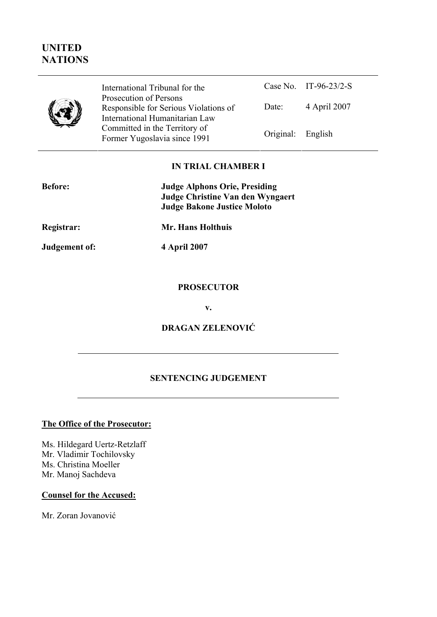# **UNITED NATIONS**



Case No. IT-96-23/2-S Date: 4 April 2007 International Tribunal for the Prosecution of Persons Responsible for Serious Violations of International Humanitarian Law Committed in the Territory of Former Yugoslavia since 1991 **Original:** English

# **IN TRIAL CHAMBER I**

| <b>Before:</b> | <b>Judge Alphons Orie, Presiding</b><br><b>Judge Christine Van den Wyngaert</b><br><b>Judge Bakone Justice Moloto</b> |
|----------------|-----------------------------------------------------------------------------------------------------------------------|
| Registrar:     | Mr. Hans Holthuis                                                                                                     |

**Judgement of: 4 April 2007** 

## **PROSECUTOR**

**v.** 

# **DRAGAN ZELENOVIĆ**

# **SENTENCING JUDGEMENT**

## The Office of the Prosecutor:

Ms. Hildegard Uertz-Retzlaff Mr. Vladimir Tochilovsky Ms. Christina Moeller Mr. Manoj Sachdeva

### **Counsel for the Accused:**

Mr. Zoran Jovanović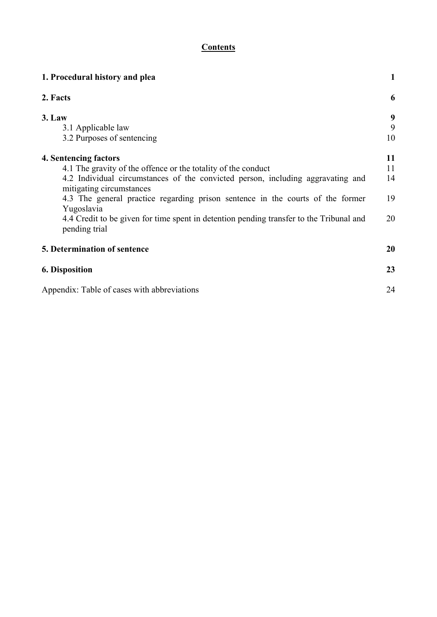# **Contents**

| 1. Procedural history and plea                                                                                                                                                                                                                                                                                                                                                                                    |                            |
|-------------------------------------------------------------------------------------------------------------------------------------------------------------------------------------------------------------------------------------------------------------------------------------------------------------------------------------------------------------------------------------------------------------------|----------------------------|
| 2. Facts                                                                                                                                                                                                                                                                                                                                                                                                          | 6                          |
| 3. Law<br>3.1 Applicable law<br>3.2 Purposes of sentencing                                                                                                                                                                                                                                                                                                                                                        | 9<br>9<br>10               |
| 4. Sentencing factors<br>4.1 The gravity of the offence or the totality of the conduct<br>4.2 Individual circumstances of the convicted person, including aggravating and<br>mitigating circumstances<br>4.3 The general practice regarding prison sentence in the courts of the former<br>Yugoslavia<br>4.4 Credit to be given for time spent in detention pending transfer to the Tribunal and<br>pending trial | 11<br>11<br>14<br>19<br>20 |
| 5. Determination of sentence                                                                                                                                                                                                                                                                                                                                                                                      | 20                         |
| <b>6. Disposition</b>                                                                                                                                                                                                                                                                                                                                                                                             | 23                         |
| Appendix: Table of cases with abbreviations                                                                                                                                                                                                                                                                                                                                                                       | 24                         |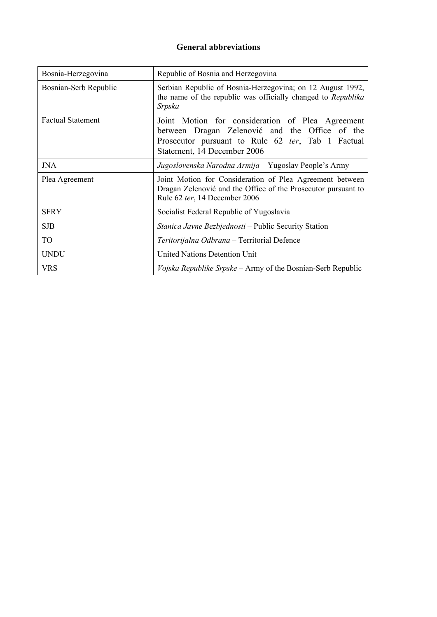# **General abbreviations**

| Bosnia-Herzegovina       | Republic of Bosnia and Herzegovina                                                                                                                                                     |
|--------------------------|----------------------------------------------------------------------------------------------------------------------------------------------------------------------------------------|
| Bosnian-Serb Republic    | Serbian Republic of Bosnia-Herzegovina; on 12 August 1992,<br>the name of the republic was officially changed to Republika<br>Srpska                                                   |
| <b>Factual Statement</b> | Joint Motion for consideration of Plea Agreement<br>between Dragan Zelenović and the Office of the<br>Prosecutor pursuant to Rule 62 ter, Tab 1 Factual<br>Statement, 14 December 2006 |
| <b>JNA</b>               | Jugoslovenska Narodna Armija – Yugoslav People's Army                                                                                                                                  |
| Plea Agreement           | Joint Motion for Consideration of Plea Agreement between<br>Dragan Zelenović and the Office of the Prosecutor pursuant to<br>Rule 62 ter, 14 December 2006                             |
| <b>SFRY</b>              | Socialist Federal Republic of Yugoslavia                                                                                                                                               |
| <b>SJB</b>               | Stanica Javne Bezbjednosti – Public Security Station                                                                                                                                   |
| <b>TO</b>                | Teritorijalna Odbrana – Territorial Defence                                                                                                                                            |
| <b>UNDU</b>              | <b>United Nations Detention Unit</b>                                                                                                                                                   |
| <b>VRS</b>               | Vojska Republike Srpske – Army of the Bosnian-Serb Republic                                                                                                                            |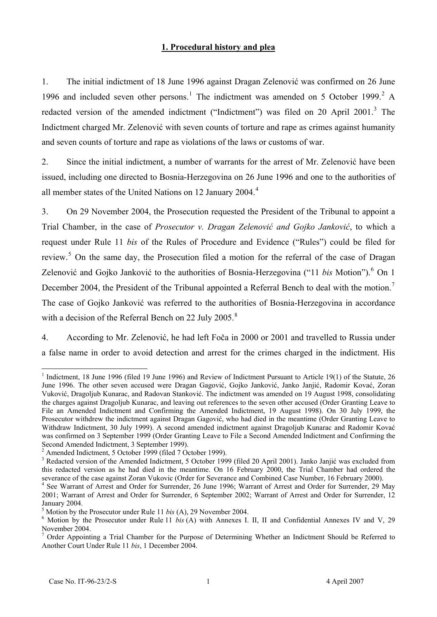## <sup>U</sup>**1. Procedural history and plea**

1. The initial indictment of 18 June 1996 against Dragan Zelenović was confirmed on 26 June 1996 and included seven other persons.<sup>1</sup> The indictment was amended on 5 October 1999.<sup>2</sup> A redacted version of the amended indictment ("Indictment") was filed on 20 April 2001.<sup>3</sup> The Indictment charged Mr. Zelenović with seven counts of torture and rape as crimes against humanity and seven counts of torture and rape as violations of the laws or customs of war.

2. Since the initial indictment, a number of warrants for the arrest of Mr. Zelenović have been issued, including one directed to Bosnia-Herzegovina on 26 June 1996 and one to the authorities of all member states of the United Nations on 12 January 2004.<sup>4</sup>

3. On 29 November 2004, the Prosecution requested the President of the Tribunal to appoint a Trial Chamber, in the case of *Prosecutor v. Dragan Zelenović and Gojko Janković*, to which a request under Rule 11 *bis* of the Rules of Procedure and Evidence ("Rules") could be filed for review.<sup>5</sup> On the same day, the Prosecution filed a motion for the referral of the case of Dragan Zelenović and Gojko Janković to the authorities of Bosnia-Herzegovina ("11 *bis* Motion").<sup>6</sup> On 1 December 2004, the President of the Tribunal appointed a Referral Bench to deal with the motion.<sup>7</sup> The case of Gojko Janković was referred to the authorities of Bosnia-Herzegovina in accordance with a decision of the Referral Bench on 22 July 2005. $8$ 

4. According to Mr. Zelenović, he had left Foča in 2000 or 2001 and travelled to Russia under a false name in order to avoid detection and arrest for the crimes charged in the indictment. His

<sup>&</sup>lt;sup>1</sup> Indictment, 18 June 1996 (filed 19 June 1996) and Review of Indictment Pursuant to Article 19(1) of the Statute, 26 June 1996. The other seven accused were Dragan Gagović, Gojko Janković, Janko Janjić, Radomir Kovać, Zoran Vuković, Dragoljub Kunarac, and Radovan Stanković. The indictment was amended on 19 August 1998, consolidating the charges against Dragoljub Kunarac, and leaving out references to the seven other accused (Order Granting Leave to File an Amended Indictment and Confirming the Amended Indictment, 19 August 1998). On 30 July 1999, the Prosecutor withdrew the indictment against Dragan Gagović, who had died in the meantime (Order Granting Leave to Withdraw Indictment, 30 July 1999). A second amended indictment against Dragoljub Kunarac and Radomir Kovać was confirmed on 3 September 1999 (Order Granting Leave to File a Second Amended Indictment and Confirming the Second Amended Indictment, 3 September 1999).

 $2$  Amended Indictment, 5 October 1999 (filed 7 October 1999).

<sup>&</sup>lt;sup>3</sup> Redacted version of the Amended Indictment, 5 October 1999 (filed 20 April 2001). Janko Janjić was excluded from this redacted version as he had died in the meantime. On 16 February 2000, the Trial Chamber had ordered the severance of the case against Zoran Vukovic (Order for Severance and Combined Case Number, 16 February 2000).

<sup>&</sup>lt;sup>4</sup> See Warrant of Arrest and Order for Surrender, 26 June 1996; Warrant of Arrest and Order for Surrender, 29 May 2001; Warrant of Arrest and Order for Surrender, 6 September 2002; Warrant of Arrest and Order for Surrender, 12 January 2004.

 $<sup>5</sup>$  Motion by the Prosecutor under Rule 11 *bis* (A), 29 November 2004.</sup>

 $6$  Motion by the Prosecutor under Rule 11 *bis* (A) with Annexes I. II, II and Confidential Annexes IV and V, 29 November 2004.

 $7$  Order Appointing a Trial Chamber for the Purpose of Determining Whether an Indictment Should be Referred to Another Court Under Rule 11 *bis*, 1 December 2004.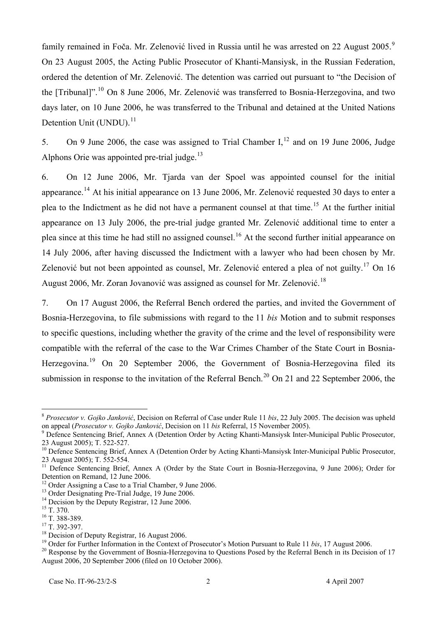family remained in Foča. Mr. Zelenović lived in Russia until he was arrested on 22 August 2005.<sup>9</sup> On 23 August 2005, the Acting Public Prosecutor of Khanti-Mansiysk, in the Russian Federation, ordered the detention of Mr. Zelenović. The detention was carried out pursuant to "the Decision of the [Tribunal]".<sup>10</sup> On 8 June 2006, Mr. Zelenović was transferred to Bosnia-Herzegovina, and two days later, on 10 June 2006, he was transferred to the Tribunal and detained at the United Nations Detention Unit (UNDU).<sup>11</sup>

5. On 9 June 2006, the case was assigned to Trial Chamber I,<sup>12</sup> and on 19 June 2006, Judge Alphons Orie was appointed pre-trial judge. $^{13}$ 

6. On 12 June 2006, Mr. Tjarda van der Spoel was appointed counsel for the initial appearance.<sup>14</sup> At his initial appearance on 13 June 2006, Mr. Zelenović requested 30 days to enter a plea to the Indictment as he did not have a permanent counsel at that time.<sup>15</sup> At the further initial appearance on 13 July 2006, the pre-trial judge granted Mr. Zelenović additional time to enter a plea since at this time he had still no assigned counsel.<sup>16</sup> At the second further initial appearance on 14 July 2006, after having discussed the Indictment with a lawyer who had been chosen by Mr. Zelenović but not been appointed as counsel, Mr. Zelenović entered a plea of not guilty.<sup>17</sup> On 16 August 2006, Mr. Zoran Jovanović was assigned as counsel for Mr. Zelenović.<sup>18</sup>

7. On 17 August 2006, the Referral Bench ordered the parties, and invited the Government of Bosnia-Herzegovina, to file submissions with regard to the 11 *bis* Motion and to submit responses to specific questions, including whether the gravity of the crime and the level of responsibility were compatible with the referral of the case to the War Crimes Chamber of the State Court in Bosnia-Herzegovina.<sup>19</sup> On 20 September 2006, the Government of Bosnia-Herzegovina filed its submission in response to the invitation of the Referral Bench.<sup>20</sup> On 21 and 22 September 2006, the

<sup>&</sup>lt;sup>8</sup> Prosecutor v. Gojko Janković, Decision on Referral of Case under Rule 11 bis, 22 July 2005. The decision was upheld on appeal (*Prosecutor v. Gojko Janković*, Decision on 11 *bis* Referral, 15 November 2005).

<sup>&</sup>lt;sup>9</sup> Defence Sentencing Brief, Annex A (Detention Order by Acting Khanti-Mansiysk Inter-Municipal Public Prosecutor, 23 August 2005); T. 522-527.

<sup>&</sup>lt;sup>10</sup> Defence Sentencing Brief, Annex A (Detention Order by Acting Khanti-Mansiysk Inter-Municipal Public Prosecutor, 23 August 2005); T. 552-554.

<sup>&</sup>lt;sup>11</sup> Defence Sentencing Brief, Annex A (Order by the State Court in Bosnia-Herzegovina, 9 June 2006); Order for Detention on Remand, 12 June 2006.

<sup>&</sup>lt;sup>12</sup> Order Assigning a Case to a Trial Chamber, 9 June 2006.

<sup>&</sup>lt;sup>13</sup> Order Designating Pre-Trial Judge, 19 June 2006.

 $14$  Decision by the Deputy Registrar, 12 June 2006.

 $^{15}$  T. 370.

 $^{16}$  T. 388-389.

 $17$  T. 392-397.

<sup>&</sup>lt;sup>18</sup> Decision of Deputy Registrar, 16 August 2006.

<sup>&</sup>lt;sup>19</sup> Order for Further Information in the Context of Prosecutor's Motion Pursuant to Rule 11 *bis*, 17 August 2006.

 $20$  Response by the Government of Bosnia-Herzegovina to Questions Posed by the Referral Bench in its Decision of 17 August 2006, 20 September 2006 (filed on 10 October 2006).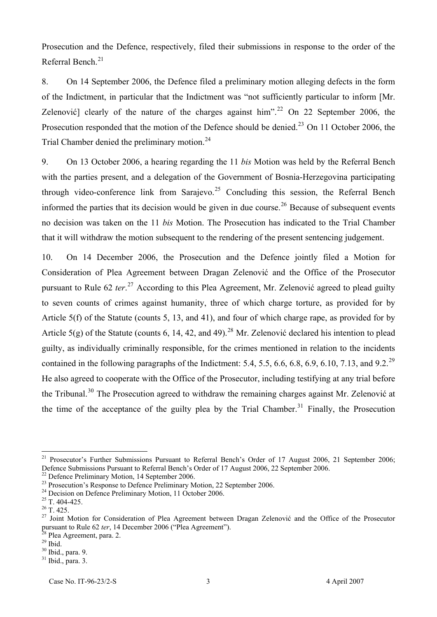Prosecution and the Defence, respectively, filed their submissions in response to the order of the Referral Bench.<sup>21</sup>

8. On 14 September 2006, the Defence filed a preliminary motion alleging defects in the form of the Indictment, in particular that the Indictment was "not sufficiently particular to inform [Mr. Zelenović] clearly of the nature of the charges against him".<sup>22</sup> On 22 September 2006, the Prosecution responded that the motion of the Defence should be denied.<sup>23</sup> On 11 October 2006, the Trial Chamber denied the preliminary motion. $24$ 

9. On 13 October 2006, a hearing regarding the 11 *bis* Motion was held by the Referral Bench with the parties present, and a delegation of the Government of Bosnia-Herzegovina participating through video-conference link from Sarajevo.<sup>25</sup> Concluding this session, the Referral Bench informed the parties that its decision would be given in due course.<sup>26</sup> Because of subsequent events no decision was taken on the 11 *bis* Motion. The Prosecution has indicated to the Trial Chamber that it will withdraw the motion subsequent to the rendering of the present sentencing judgement.

10. On 14 December 2006, the Prosecution and the Defence jointly filed a Motion for Consideration of Plea Agreement between Dragan Zelenović and the Office of the Prosecutor pursuant to Rule 62 *ter*.<sup>27</sup> According to this Plea Agreement, Mr. Zelenović agreed to plead guilty to seven counts of crimes against humanity, three of which charge torture, as provided for by Article 5(f) of the Statute (counts 5, 13, and 41), and four of which charge rape, as provided for by Article 5(g) of the Statute (counts 6, 14, 42, and 49).<sup>28</sup> Mr. Zelenović declared his intention to plead guilty, as individually criminally responsible, for the crimes mentioned in relation to the incidents contained in the following paragraphs of the Indictment: 5.4, 5.5, 6.6, 6.8, 6.9, 6.10, 7.13, and 9.2.<sup>29</sup> He also agreed to cooperate with the Office of the Prosecutor, including testifying at any trial before the Tribunal.<sup>30</sup> The Prosecution agreed to withdraw the remaining charges against Mr. Zelenović at the time of the acceptance of the guilty plea by the Trial Chamber.<sup>31</sup> Finally, the Prosecution

 $22$  Defence Preliminary Motion, 14 September 2006.

<sup>&</sup>lt;sup>21</sup> Prosecutor's Further Submissions Pursuant to Referral Bench's Order of 17 August 2006, 21 September 2006; Defence Submissions Pursuant to Referral Bench's Order of 17 August 2006, 22 September 2006.

 $2<sup>23</sup>$  Prosecution's Response to Defence Preliminary Motion, 22 September 2006.

<sup>&</sup>lt;sup>24</sup> Decision on Defence Preliminary Motion, 11 October 2006.

 $25$  T. 404-425.

 $26$  T. 425.

<sup>&</sup>lt;sup>27</sup> Joint Motion for Consideration of Plea Agreement between Dragan Zelenović and the Office of the Prosecutor pursuant to Rule 62 *ter*, 14 December 2006 ("Plea Agreement").

<sup>&</sup>lt;sup>28</sup> Plea Agreement, para. 2.

 $29$  Ibid.

 $30$  Ibid., para. 9.

 $31$  Ibid., para. 3.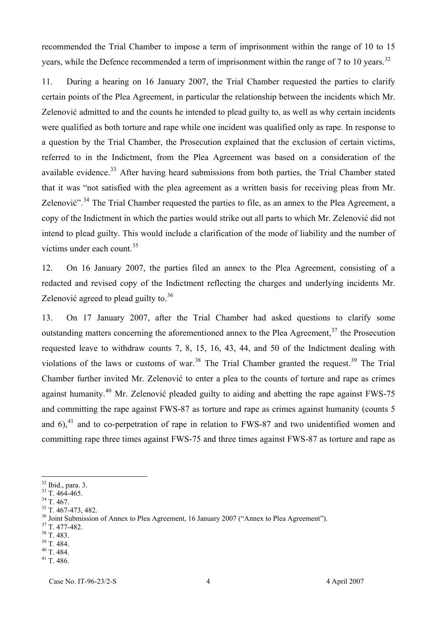recommended the Trial Chamber to impose a term of imprisonment within the range of 10 to 15 years, while the Defence recommended a term of imprisonment within the range of 7 to 10 years.<sup>32</sup>

11. During a hearing on 16 January 2007, the Trial Chamber requested the parties to clarify certain points of the Plea Agreement, in particular the relationship between the incidents which Mr. Zelenović admitted to and the counts he intended to plead guilty to, as well as why certain incidents were qualified as both torture and rape while one incident was qualified only as rape. In response to a question by the Trial Chamber, the Prosecution explained that the exclusion of certain victims, referred to in the Indictment, from the Plea Agreement was based on a consideration of the available evidence.<sup>33</sup> After having heard submissions from both parties, the Trial Chamber stated that it was "not satisfied with the plea agreement as a written basis for receiving pleas from Mr. Zelenović".<sup>34</sup> The Trial Chamber requested the parties to file, as an annex to the Plea Agreement, a copy of the Indictment in which the parties would strike out all parts to which Mr. Zelenović did not intend to plead guilty. This would include a clarification of the mode of liability and the number of victims under each count. $35$ 

12. On 16 January 2007, the parties filed an annex to the Plea Agreement, consisting of a redacted and revised copy of the Indictment reflecting the charges and underlying incidents Mr. Zelenović agreed to plead guilty to. $36$ 

13. On 17 January 2007, after the Trial Chamber had asked questions to clarify some outstanding matters concerning the aforementioned annex to the Plea Agreement, $37$  the Prosecution requested leave to withdraw counts 7, 8, 15, 16, 43, 44, and 50 of the Indictment dealing with violations of the laws or customs of war.<sup>38</sup> The Trial Chamber granted the request.<sup>39</sup> The Trial Chamber further invited Mr. Zelenović to enter a plea to the counts of torture and rape as crimes against humanity.<sup>40</sup> Mr. Zelenović pleaded guilty to aiding and abetting the rape against FWS-75 and committing the rape against FWS-87 as torture and rape as crimes against humanity (counts 5 and  $6$ ,<sup>41</sup> and to co-perpetration of rape in relation to FWS-87 and two unidentified women and committing rape three times against FWS-75 and three times against FWS-87 as torture and rape as

 $\overline{a}$ 

- $37$  T. 477-482.
- $38$  T. 483.
- $39$  T. 484.

 $41$  T. 486.

 $32$  Ibid., para. 3.

 $33$  T. 464-465.

 $34$  T. 467.

 $35$  T. 467-473, 482.

<sup>&</sup>lt;sup>36</sup> Joint Submission of Annex to Plea Agreement, 16 January 2007 ("Annex to Plea Agreement").

 $40$  T. 484.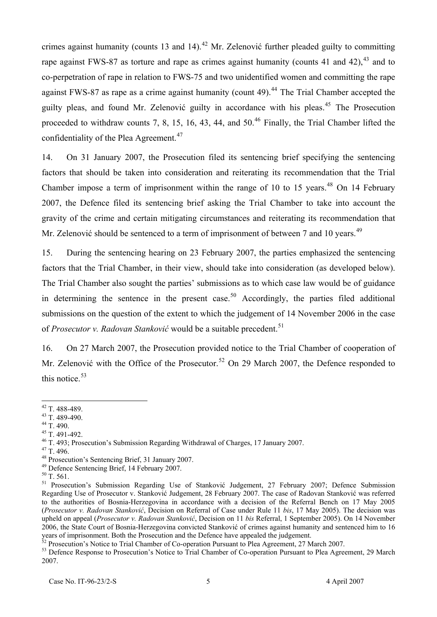crimes against humanity (counts 13 and 14).<sup>42</sup> Mr. Zelenović further pleaded guilty to committing rape against FWS-87 as torture and rape as crimes against humanity (counts 41 and 42),  $43$  and to co-perpetration of rape in relation to FWS-75 and two unidentified women and committing the rape against FWS-87 as rape as a crime against humanity (count 49).<sup>44</sup> The Trial Chamber accepted the guilty pleas, and found Mr. Zelenović guilty in accordance with his pleas.<sup>45</sup> The Prosecution proceeded to withdraw counts 7, 8, 15, 16, 43, 44, and  $50<sup>46</sup>$  Finally, the Trial Chamber lifted the confidentiality of the Plea Agreement.<sup>47</sup>

14. On 31 January 2007, the Prosecution filed its sentencing brief specifying the sentencing factors that should be taken into consideration and reiterating its recommendation that the Trial Chamber impose a term of imprisonment within the range of 10 to 15 years. $48$  On 14 February 2007, the Defence filed its sentencing brief asking the Trial Chamber to take into account the gravity of the crime and certain mitigating circumstances and reiterating its recommendation that Mr. Zelenović should be sentenced to a term of imprisonment of between 7 and 10 years.<sup>49</sup>

15. During the sentencing hearing on 23 February 2007, the parties emphasized the sentencing factors that the Trial Chamber, in their view, should take into consideration (as developed below). The Trial Chamber also sought the parties' submissions as to which case law would be of guidance in determining the sentence in the present case.<sup>50</sup> Accordingly, the parties filed additional submissions on the question of the extent to which the judgement of 14 November 2006 in the case of *Prosecutor v. Radovan Stanković* would be a suitable precedent.<sup>51</sup>

16. On 27 March 2007, the Prosecution provided notice to the Trial Chamber of cooperation of Mr. Zelenović with the Office of the Prosecutor.<sup>52</sup> On 29 March 2007, the Defence responded to this notice. $53$ 

 $42$  T. 488-489.

 $43$  T. 489-490.

 $44$  T. 490.

 $45$  T. 491-492.

<sup>&</sup>lt;sup>46</sup> T. 493; Prosecution's Submission Regarding Withdrawal of Charges, 17 January 2007.

 $47$  T. 496.

<sup>&</sup>lt;sup>48</sup> Prosecution's Sentencing Brief, 31 January 2007.

<sup>&</sup>lt;sup>49</sup> Defence Sentencing Brief, 14 February 2007.

 $50$  T. 561.

<sup>&</sup>lt;sup>51</sup> Prosecution's Submission Regarding Use of Stanković Judgement, 27 February 2007; Defence Submission Regarding Use of Prosecutor v. Stanković Judgement, 28 February 2007. The case of Radovan Stanković was referred to the authorities of Bosnia-Herzegovina in accordance with a decision of the Referral Bench on 17 May 2005 (*Prosecutor v. Radovan Stanković*, Decision on Referral of Case under Rule 11 *bis*, 17 May 2005). The decision was upheld on appeal (*Prosecutor v. Radovan Stanković*, Decision on 11 *bis* Referral, 1 September 2005). On 14 November 2006, the State Court of Bosnia-Herzegovina convicted Stanković of crimes against humanity and sentenced him to 16 years of imprisonment. Both the Prosecution and the Defence have appealed the judgement.

 $52$  Prosecution's Notice to Trial Chamber of Co-operation Pursuant to Plea Agreement, 27 March 2007.

<sup>&</sup>lt;sup>53</sup> Defence Response to Prosecution's Notice to Trial Chamber of Co-operation Pursuant to Plea Agreement, 29 March 2007.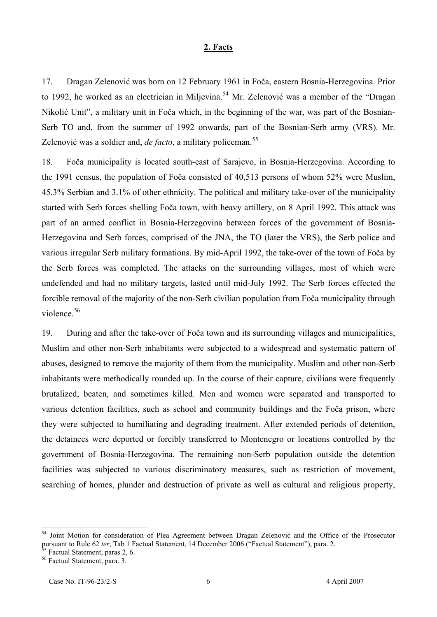#### <sup>U</sup>**2. Facts**

17. Dragan Zelenović was born on 12 February 1961 in Foča, eastern Bosnia-Herzegovina. Prior to 1992, he worked as an electrician in Miljevina.<sup>54</sup> Mr. Zelenović was a member of the "Dragan Nikolić Unit", a military unit in Foča which, in the beginning of the war, was part of the Bosnian-Serb TO and, from the summer of 1992 onwards, part of the Bosnian-Serb army (VRS). Mr. Zelenović was a soldier and, *de facto*, a military policeman.<sup>55</sup>

18. Foča municipality is located south-east of Sarajevo, in Bosnia-Herzegovina. According to the 1991 census, the population of Foča consisted of 40,513 persons of whom 52% were Muslim, 45.3% Serbian and 3.1% of other ethnicity. The political and military take-over of the municipality started with Serb forces shelling Foča town, with heavy artillery, on 8 April 1992. This attack was part of an armed conflict in Bosnia-Herzegovina between forces of the government of Bosnia-Herzegovina and Serb forces, comprised of the JNA, the TO (later the VRS), the Serb police and various irregular Serb military formations. By mid-April 1992, the take-over of the town of Foča by the Serb forces was completed. The attacks on the surrounding villages, most of which were undefended and had no military targets, lasted until mid-July 1992. The Serb forces effected the forcible removal of the majority of the non-Serb civilian population from Foča municipality through violence. $56$ 

19. During and after the take-over of Foča town and its surrounding villages and municipalities, Muslim and other non-Serb inhabitants were subjected to a widespread and systematic pattern of abuses, designed to remove the majority of them from the municipality. Muslim and other non-Serb inhabitants were methodically rounded up. In the course of their capture, civilians were frequently brutalized, beaten, and sometimes killed. Men and women were separated and transported to various detention facilities, such as school and community buildings and the Foča prison, where they were subjected to humiliating and degrading treatment. After extended periods of detention, the detainees were deported or forcibly transferred to Montenegro or locations controlled by the government of Bosnia-Herzegovina. The remaining non-Serb population outside the detention facilities was subjected to various discriminatory measures, such as restriction of movement, searching of homes, plunder and destruction of private as well as cultural and religious property,

<sup>&</sup>lt;sup>54</sup> Joint Motion for consideration of Plea Agreement between Dragan Zelenović and the Office of the Prosecutor pursuant to Rule 62 *ter*, Tab 1 Factual Statement, 14 December 2006 ("Factual Statement"), para. 2.

<sup>&</sup>lt;sup>55</sup> Factual Statement, paras 2, 6.

<sup>&</sup>lt;sup>56</sup> Factual Statement, para. 3.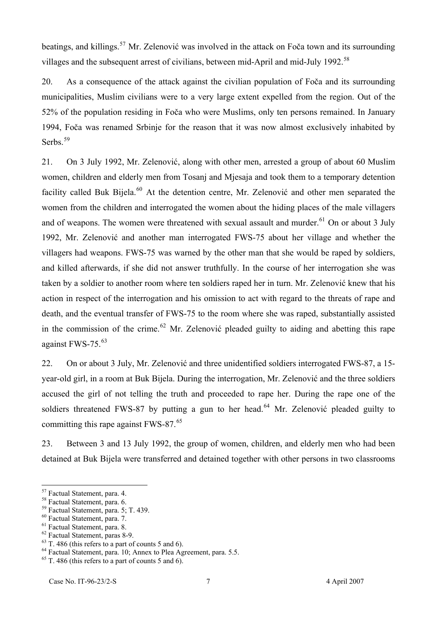beatings, and killings.<sup>57</sup> Mr. Zelenović was involved in the attack on Foča town and its surrounding villages and the subsequent arrest of civilians, between mid-April and mid-July 1992.<sup>58</sup>

20. As a consequence of the attack against the civilian population of Foča and its surrounding municipalities, Muslim civilians were to a very large extent expelled from the region. Out of the 52% of the population residing in Foča who were Muslims, only ten persons remained. In January 1994, Foča was renamed Srbinje for the reason that it was now almost exclusively inhabited by Serbs.<sup>59</sup>

21. On 3 July 1992, Mr. Zelenović, along with other men, arrested a group of about 60 Muslim women, children and elderly men from Tosanj and Mjesaja and took them to a temporary detention facility called Buk Bijela.<sup>60</sup> At the detention centre, Mr. Zelenović and other men separated the women from the children and interrogated the women about the hiding places of the male villagers and of weapons. The women were threatened with sexual assault and murder. <sup>61</sup> On or about 3 July 1992, Mr. Zelenović and another man interrogated FWS-75 about her village and whether the villagers had weapons. FWS-75 was warned by the other man that she would be raped by soldiers, and killed afterwards, if she did not answer truthfully. In the course of her interrogation she was taken by a soldier to another room where ten soldiers raped her in turn. Mr. Zelenović knew that his action in respect of the interrogation and his omission to act with regard to the threats of rape and death, and the eventual transfer of FWS-75 to the room where she was raped, substantially assisted in the commission of the crime.<sup>62</sup> Mr. Zelenović pleaded guilty to aiding and abetting this rape against FWS-75.<sup>63</sup>

22. On or about 3 July, Mr. Zelenović and three unidentified soldiers interrogated FWS-87, a 15 year-old girl, in a room at Buk Bijela. During the interrogation, Mr. Zelenović and the three soldiers accused the girl of not telling the truth and proceeded to rape her. During the rape one of the soldiers threatened FWS-87 by putting a gun to her head.<sup>64</sup> Mr. Zelenović pleaded guilty to committing this rape against FWS-87. $^{65}$ 

23. Between 3 and 13 July 1992, the group of women, children, and elderly men who had been detained at Buk Bijela were transferred and detained together with other persons in two classrooms

<sup>&</sup>lt;sup>57</sup> Factual Statement, para. 4.

<sup>&</sup>lt;sup>58</sup> Factual Statement, para. 6.

 $59$  Factual Statement, para. 5; T. 439.

<sup>&</sup>lt;sup>60</sup> Factual Statement, para. 7.

 $61$  Factual Statement, para. 8.

<sup>&</sup>lt;sup>62</sup> Factual Statement, paras 8-9.

 $63$  T. 486 (this refers to a part of counts 5 and 6).

 $64$  Factual Statement, para. 10; Annex to Plea Agreement, para. 5.5.

 $65$  T. 486 (this refers to a part of counts 5 and 6).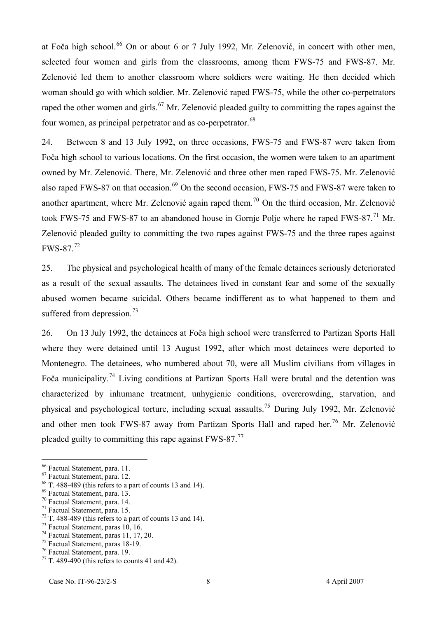at Foča high school.<sup>66</sup> On or about 6 or 7 July 1992, Mr. Zelenović, in concert with other men, selected four women and girls from the classrooms, among them FWS-75 and FWS-87. Mr. Zelenović led them to another classroom where soldiers were waiting. He then decided which woman should go with which soldier. Mr. Zelenović raped FWS-75, while the other co-perpetrators raped the other women and girls.<sup>67</sup> Mr. Zelenović pleaded guilty to committing the rapes against the four women, as principal perpetrator and as co-perpetrator.<sup>68</sup>

24. Between 8 and 13 July 1992, on three occasions, FWS-75 and FWS-87 were taken from Foča high school to various locations. On the first occasion, the women were taken to an apartment owned by Mr. Zelenović. There, Mr. Zelenović and three other men raped FWS-75. Mr. Zelenović also raped FWS-87 on that occasion.<sup>69</sup> On the second occasion, FWS-75 and FWS-87 were taken to another apartment, where Mr. Zelenović again raped them.<sup>70</sup> On the third occasion, Mr. Zelenović took FWS-75 and FWS-87 to an abandoned house in Gornje Polje where he raped FWS-87.<sup>71</sup> Mr. Zelenović pleaded guilty to committing the two rapes against FWS-75 and the three rapes against  $\text{FWS-87.}^{72}$ 

25. The physical and psychological health of many of the female detainees seriously deteriorated as a result of the sexual assaults. The detainees lived in constant fear and some of the sexually abused women became suicidal. Others became indifferent as to what happened to them and suffered from depression.<sup>73</sup>

26. On 13 July 1992, the detainees at Foča high school were transferred to Partizan Sports Hall where they were detained until 13 August 1992, after which most detainees were deported to Montenegro. The detainees, who numbered about 70, were all Muslim civilians from villages in Foča municipality.<sup>74</sup> Living conditions at Partizan Sports Hall were brutal and the detention was characterized by inhumane treatment, unhygienic conditions, overcrowding, starvation, and physical and psychological torture, including sexual assaults.<sup>75</sup> During July 1992, Mr. Zelenović and other men took FWS-87 away from Partizan Sports Hall and raped her.<sup>76</sup> Mr. Zelenović pleaded guilty to committing this rape against  $FWS-87$ .<sup>77</sup>

<sup>&</sup>lt;sup>66</sup> Factual Statement, para. 11.

 $67$  Factual Statement, para. 12.

 $68$  T. 488-489 (this refers to a part of counts 13 and 14).

<sup>&</sup>lt;sup>69</sup> Factual Statement, para. 13.

<sup>&</sup>lt;sup>70</sup> Factual Statement, para. 14.

 $71$  Factual Statement, para. 15.

 $<sup>72</sup>$  T. 488-489 (this refers to a part of counts 13 and 14).</sup>

 $73$  Factual Statement, paras 10, 16.

 $74$  Factual Statement, paras 11, 17, 20.

<sup>&</sup>lt;sup>75</sup> Factual Statement, paras 18-19.

<sup>&</sup>lt;sup>76</sup> Factual Statement, para. 19.

 $<sup>77</sup>$  T. 489-490 (this refers to counts 41 and 42).</sup>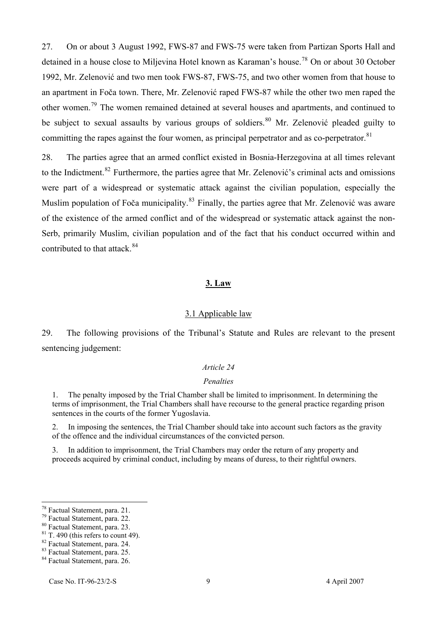27. On or about 3 August 1992, FWS-87 and FWS-75 were taken from Partizan Sports Hall and detained in a house close to Miljevina Hotel known as Karaman's house.<sup>78</sup> On or about 30 October 1992, Mr. Zelenović and two men took FWS-87, FWS-75, and two other women from that house to an apartment in Foča town. There, Mr. Zelenović raped FWS-87 while the other two men raped the other women.<sup>79</sup> The women remained detained at several houses and apartments, and continued to be subject to sexual assaults by various groups of soldiers.<sup>80</sup> Mr. Zelenović pleaded guilty to committing the rapes against the four women, as principal perpetrator and as co-perpetrator. $81$ 

28. The parties agree that an armed conflict existed in Bosnia-Herzegovina at all times relevant to the Indictment.<sup>82</sup> Furthermore, the parties agree that Mr. Zelenović's criminal acts and omissions were part of a widespread or systematic attack against the civilian population, especially the Muslim population of Foča municipality.<sup>83</sup> Finally, the parties agree that Mr. Zelenović was aware of the existence of the armed conflict and of the widespread or systematic attack against the non-Serb, primarily Muslim, civilian population and of the fact that his conduct occurred within and contributed to that attack. $84$ 

#### <sup>U</sup>**3. Law**

#### 3.1 Applicable law

29. The following provisions of the Tribunal's Statute and Rules are relevant to the present sentencing judgement:

#### *Article 24*

#### *Penalties*

1. The penalty imposed by the Trial Chamber shall be limited to imprisonment. In determining the terms of imprisonment, the Trial Chambers shall have recourse to the general practice regarding prison sentences in the courts of the former Yugoslavia.

2. In imposing the sentences, the Trial Chamber should take into account such factors as the gravity of the offence and the individual circumstances of the convicted person.

3. In addition to imprisonment, the Trial Chambers may order the return of any property and proceeds acquired by criminal conduct, including by means of duress, to their rightful owners.

<sup>&</sup>lt;sup>78</sup> Factual Statement, para. 21.

<sup>&</sup>lt;sup>79</sup> Factual Statement, para. 22.

<sup>&</sup>lt;sup>80</sup> Factual Statement, para. 23.

 $81$  T. 490 (this refers to count 49).

<sup>&</sup>lt;sup>82</sup> Factual Statement, para. 24.

<sup>83</sup> Factual Statement, para. 25.

<sup>&</sup>lt;sup>84</sup> Factual Statement, para. 26.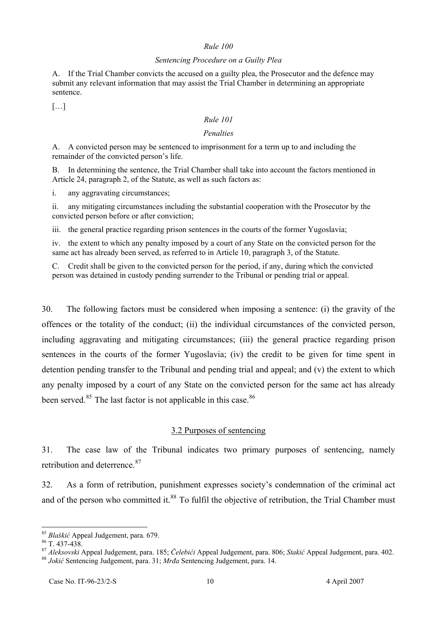#### *Rule 100*

#### *Sentencing Procedure on a Guilty Plea*

A. If the Trial Chamber convicts the accused on a guilty plea, the Prosecutor and the defence may submit any relevant information that may assist the Trial Chamber in determining an appropriate sentence.

 $[\dots]$ 

#### *Rule 101*

#### *Penalties*

A. A convicted person may be sentenced to imprisonment for a term up to and including the remainder of the convicted person's life.

B. In determining the sentence, the Trial Chamber shall take into account the factors mentioned in Article 24, paragraph 2, of the Statute, as well as such factors as:

i. any aggravating circumstances;

ii. any mitigating circumstances including the substantial cooperation with the Prosecutor by the convicted person before or after conviction;

iii. the general practice regarding prison sentences in the courts of the former Yugoslavia;

iv. the extent to which any penalty imposed by a court of any State on the convicted person for the same act has already been served, as referred to in Article 10, paragraph 3, of the Statute.

C. Credit shall be given to the convicted person for the period, if any, during which the convicted person was detained in custody pending surrender to the Tribunal or pending trial or appeal.

30. The following factors must be considered when imposing a sentence: (i) the gravity of the offences or the totality of the conduct; (ii) the individual circumstances of the convicted person, including aggravating and mitigating circumstances; (iii) the general practice regarding prison sentences in the courts of the former Yugoslavia; (iv) the credit to be given for time spent in detention pending transfer to the Tribunal and pending trial and appeal; and (v) the extent to which any penalty imposed by a court of any State on the convicted person for the same act has already been served.<sup>85</sup> The last factor is not applicable in this case.<sup>86</sup>

# 3.2 Purposes of sentencing

31. The case law of the Tribunal indicates two primary purposes of sentencing, namely retribution and deterrence.<sup>87</sup>

32. As a form of retribution, punishment expresses society's condemnation of the criminal act and of the person who committed it.<sup>88</sup> To fulfil the objective of retribution, the Trial Chamber must

<sup>&</sup>lt;sup>85</sup> Blaškić Appeal Judgement, para. 679.

 $86$  T. 437-438.

TP 87PT *Aleksovski* Appeal Judgement, para. 185; *Čelebići* Appeal Judgement, para. 806; *Stakić* Appeal Judgement, para. 402. 88 *Jokić* Sentencing Judgement, para. 31; *Mrđa* Sentencing Judgement, para. 14.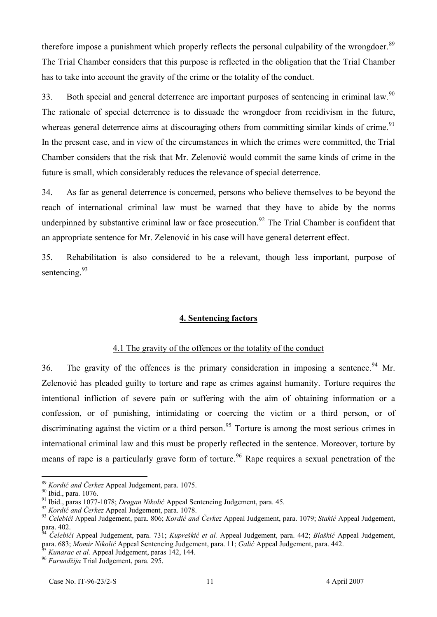therefore impose a punishment which properly reflects the personal culpability of the wrongdoer.<sup>89</sup> The Trial Chamber considers that this purpose is reflected in the obligation that the Trial Chamber has to take into account the gravity of the crime or the totality of the conduct.

33. Both special and general deterrence are important purposes of sentencing in criminal law.<sup>90</sup> The rationale of special deterrence is to dissuade the wrongdoer from recidivism in the future, whereas general deterrence aims at discouraging others from committing similar kinds of crime.<sup>91</sup> In the present case, and in view of the circumstances in which the crimes were committed, the Trial Chamber considers that the risk that Mr. Zelenović would commit the same kinds of crime in the future is small, which considerably reduces the relevance of special deterrence.

34. As far as general deterrence is concerned, persons who believe themselves to be beyond the reach of international criminal law must be warned that they have to abide by the norms underpinned by substantive criminal law or face prosecution.<sup>92</sup> The Trial Chamber is confident that an appropriate sentence for Mr. Zelenović in his case will have general deterrent effect.

35. Rehabilitation is also considered to be a relevant, though less important, purpose of sentencing.<sup>93</sup>

## **4. Sentencing factors**

# 4.1 The gravity of the offences or the totality of the conduct

36. The gravity of the offences is the primary consideration in imposing a sentence.<sup>94</sup> Mr. Zelenović has pleaded guilty to torture and rape as crimes against humanity. Torture requires the intentional infliction of severe pain or suffering with the aim of obtaining information or a confession, or of punishing, intimidating or coercing the victim or a third person, or of discriminating against the victim or a third person.<sup>95</sup> Torture is among the most serious crimes in international criminal law and this must be properly reflected in the sentence. Moreover, torture by means of rape is a particularly grave form of torture.<sup>96</sup> Rape requires a sexual penetration of the

<sup>&</sup>lt;sup>89</sup> Kordić and Čerkez Appeal Judgement, para. 1075.

<sup>&</sup>lt;sup>90</sup> Ibid., para. 1076.

<sup>&</sup>lt;sup>91</sup> Ibid., paras 1077-1078; *Dragan Nikolić* Appeal Sentencing Judgement, para. 45.

<sup>&</sup>lt;sup>92</sup> Kordić and Čerkez Appeal Judgement, para. 1078.

TP 93PT *Čelebići* Appeal Judgement, para. 806; *Kordić and Čerkez* Appeal Judgement, para. 1079; *Stakić* Appeal Judgement, para. 402.<br><sup>94</sup> Čelebié:

PT *Čelebići* Appeal Judgement, para. 731; *Kupreškić et al.* Appeal Judgement, para. 442; *Blaškić* Appeal Judgement, para. 683; *Momir Nikolić* Appeal Sentencing Judgement, para. 11; *Galić* Appeal Judgement, para. 442.

<sup>95</sup>Kunarac et al. Appeal Judgement, paras 142, 144.

<sup>&</sup>lt;sup>96</sup> Furundžija Trial Judgement, para. 295.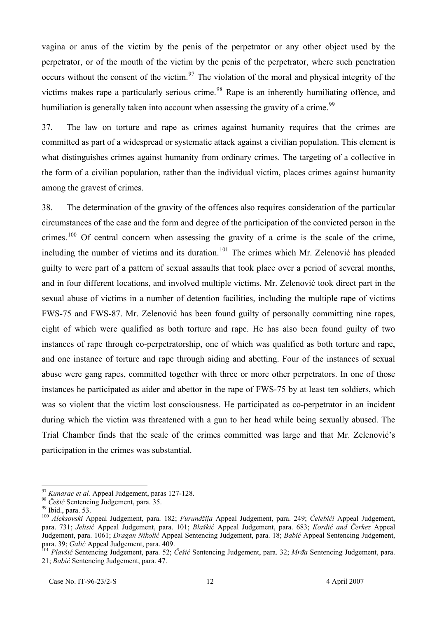vagina or anus of the victim by the penis of the perpetrator or any other object used by the perpetrator, or of the mouth of the victim by the penis of the perpetrator, where such penetration occurs without the consent of the victim.<sup>97</sup> The violation of the moral and physical integrity of the victims makes rape a particularly serious crime.<sup>98</sup> Rape is an inherently humiliating offence, and humiliation is generally taken into account when assessing the gravity of a crime.<sup>99</sup>

37. The law on torture and rape as crimes against humanity requires that the crimes are committed as part of a widespread or systematic attack against a civilian population. This element is what distinguishes crimes against humanity from ordinary crimes. The targeting of a collective in the form of a civilian population, rather than the individual victim, places crimes against humanity among the gravest of crimes.

38. The determination of the gravity of the offences also requires consideration of the particular circumstances of the case and the form and degree of the participation of the convicted person in the crimes.<sup>100</sup> Of central concern when assessing the gravity of a crime is the scale of the crime, including the number of victims and its duration.<sup>101</sup> The crimes which Mr. Zelenović has pleaded guilty to were part of a pattern of sexual assaults that took place over a period of several months, and in four different locations, and involved multiple victims. Mr. Zelenović took direct part in the sexual abuse of victims in a number of detention facilities, including the multiple rape of victims FWS-75 and FWS-87. Mr. Zelenović has been found guilty of personally committing nine rapes, eight of which were qualified as both torture and rape. He has also been found guilty of two instances of rape through co-perpetratorship, one of which was qualified as both torture and rape, and one instance of torture and rape through aiding and abetting. Four of the instances of sexual abuse were gang rapes, committed together with three or more other perpetrators. In one of those instances he participated as aider and abettor in the rape of FWS-75 by at least ten soldiers, which was so violent that the victim lost consciousness. He participated as co-perpetrator in an incident during which the victim was threatened with a gun to her head while being sexually abused. The Trial Chamber finds that the scale of the crimes committed was large and that Mr. Zelenović's participation in the crimes was substantial.

<sup>&</sup>lt;sup>97</sup> *Kunarac et al.* Appeal Judgement, paras 127-128.

<sup>&</sup>lt;sup>98</sup> Češić Sentencing Judgement, para. 35.

 $99$  Ibid., para. 53.

<sup>&</sup>lt;sup>100</sup> Aleksovski Appeal Judgement, para. 182; *Furundžija* Appeal Judgement, para. 249; Čelebići Appeal Judgement, para. 731; *Jelisić* Appeal Judgement, para. 101; *Blaškić* Appeal Judgement, para. 683; *Kordić and Čerkez* Appeal Judgement, para. 1061; *Dragan Nikolić* Appeal Sentencing Judgement, para. 18; *Babić* Appeal Sentencing Judgement, para. 39; *Galić* Appeal Judgement, para. 409.

<sup>&</sup>lt;sup>101</sup> Plavšić Sentencing Judgement, para. 52; Češić Sentencing Judgement, para. 32; *Mrđa* Sentencing Judgement, para. 21; *Babić* Sentencing Judgement, para. 47.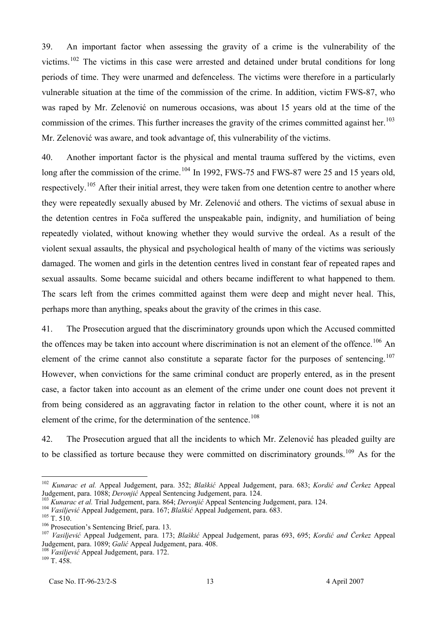39. An important factor when assessing the gravity of a crime is the vulnerability of the victims.<sup>102</sup> The victims in this case were arrested and detained under brutal conditions for long periods of time. They were unarmed and defenceless. The victims were therefore in a particularly vulnerable situation at the time of the commission of the crime. In addition, victim FWS-87, who was raped by Mr. Zelenović on numerous occasions, was about 15 years old at the time of the commission of the crimes. This further increases the gravity of the crimes committed against her.<sup>103</sup> Mr. Zelenović was aware, and took advantage of, this vulnerability of the victims.

40. Another important factor is the physical and mental trauma suffered by the victims, even long after the commission of the crime.<sup>104</sup> In 1992, FWS-75 and FWS-87 were 25 and 15 years old, respectively.<sup>105</sup> After their initial arrest, they were taken from one detention centre to another where they were repeatedly sexually abused by Mr. Zelenović and others. The victims of sexual abuse in the detention centres in Foča suffered the unspeakable pain, indignity, and humiliation of being repeatedly violated, without knowing whether they would survive the ordeal. As a result of the violent sexual assaults, the physical and psychological health of many of the victims was seriously damaged. The women and girls in the detention centres lived in constant fear of repeated rapes and sexual assaults. Some became suicidal and others became indifferent to what happened to them. The scars left from the crimes committed against them were deep and might never heal. This, perhaps more than anything, speaks about the gravity of the crimes in this case.

41. The Prosecution argued that the discriminatory grounds upon which the Accused committed the offences may be taken into account where discrimination is not an element of the offence.<sup>106</sup> An element of the crime cannot also constitute a separate factor for the purposes of sentencing.  $107$ However, when convictions for the same criminal conduct are properly entered, as in the present case, a factor taken into account as an element of the crime under one count does not prevent it from being considered as an aggravating factor in relation to the other count, where it is not an element of the crime, for the determination of the sentence.<sup>108</sup>

42. The Prosecution argued that all the incidents to which Mr. Zelenović has pleaded guilty are to be classified as torture because they were committed on discriminatory grounds.<sup>109</sup> As for the

<sup>&</sup>lt;sup>102</sup> Kunarac et al. Appeal Judgement, para. 352; *Blaškić* Appeal Judgement, para. 683; *Kordić and Čerkez* Appeal Judgement, para. 1088; *Deronjić* Appeal Sentencing Judgement, para. 124.

<sup>&</sup>lt;sup>103</sup> Kunarac et al. Trial Judgement, para. 864; *Deronjić* Appeal Sentencing Judgement, para. 124.

<sup>&</sup>lt;sup>104</sup> Vasiljević Appeal Judgement, para. 167; *Blaškić* Appeal Judgement, para. 683.

 $105$  T. 510.

 $106$  Prosecution's Sentencing Brief, para. 13.

<sup>&</sup>lt;sup>107</sup> Vasiljević Appeal Judgement, para. 173; *Blaškić* Appeal Judgement, paras 693, 695; *Kordić and Čerkez* Appeal Judgement, para. 1089; *Galić* Appeal Judgement, para. 408.

<sup>&</sup>lt;sup>108</sup> Vasiljević Appeal Judgement, para. 172.

 $109$  T. 458.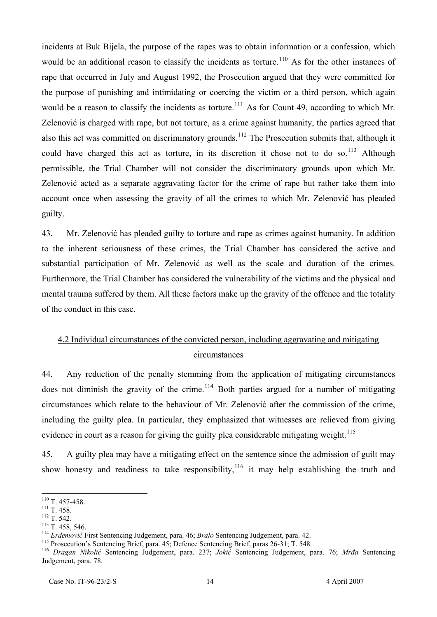incidents at Buk Bijela, the purpose of the rapes was to obtain information or a confession, which would be an additional reason to classify the incidents as torture.<sup>110</sup> As for the other instances of rape that occurred in July and August 1992, the Prosecution argued that they were committed for the purpose of punishing and intimidating or coercing the victim or a third person, which again would be a reason to classify the incidents as torture.<sup>111</sup> As for Count 49, according to which Mr. Zelenović is charged with rape, but not torture, as a crime against humanity, the parties agreed that also this act was committed on discriminatory grounds.<sup>112</sup> The Prosecution submits that, although it could have charged this act as torture, in its discretion it chose not to do so.<sup>113</sup> Although permissible, the Trial Chamber will not consider the discriminatory grounds upon which Mr. Zelenović acted as a separate aggravating factor for the crime of rape but rather take them into account once when assessing the gravity of all the crimes to which Mr. Zelenović has pleaded guilty.

43. Mr. Zelenović has pleaded guilty to torture and rape as crimes against humanity. In addition to the inherent seriousness of these crimes, the Trial Chamber has considered the active and substantial participation of Mr. Zelenović as well as the scale and duration of the crimes. Furthermore, the Trial Chamber has considered the vulnerability of the victims and the physical and mental trauma suffered by them. All these factors make up the gravity of the offence and the totality of the conduct in this case.

# 4.2 Individual circumstances of the convicted person, including aggravating and mitigating circumstances

44. Any reduction of the penalty stemming from the application of mitigating circumstances does not diminish the gravity of the crime.<sup>114</sup> Both parties argued for a number of mitigating circumstances which relate to the behaviour of Mr. Zelenović after the commission of the crime, including the guilty plea. In particular, they emphasized that witnesses are relieved from giving evidence in court as a reason for giving the guilty plea considerable mitigating weight.  $^{115}$ 

45. A guilty plea may have a mitigating effect on the sentence since the admission of guilt may show honesty and readiness to take responsibility,  $116$  it may help establishing the truth and

 $\overline{a}$  $110$  T. 457-458.

 $^{111}$  T. 458.

 $^{112}$  T. 542.

 $113$  T. 458, 546.

<sup>&</sup>lt;sup>114</sup> Erdemović First Sentencing Judgement, para. 46; *Bralo* Sentencing Judgement, para. 42.

<sup>&</sup>lt;sup>115</sup> Prosecution's Sentencing Brief, para. 45; Defence Sentencing Brief, paras 26-31; T. 548.

<sup>&</sup>lt;sup>116</sup> Dragan Nikolić Sentencing Judgement, para. 237; *Jokić* Sentencing Judgement, para. 76; *Mrđa* Sentencing Judgement, para. 78.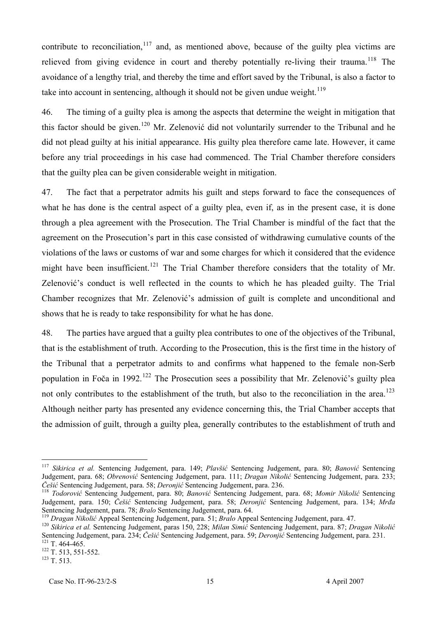contribute to reconciliation,  $117$  and, as mentioned above, because of the guilty plea victims are relieved from giving evidence in court and thereby potentially re-living their trauma.<sup>118</sup> The avoidance of a lengthy trial, and thereby the time and effort saved by the Tribunal, is also a factor to take into account in sentencing, although it should not be given undue weight.  $119$ 

46. The timing of a guilty plea is among the aspects that determine the weight in mitigation that this factor should be given.<sup>120</sup> Mr. Zelenović did not voluntarily surrender to the Tribunal and he did not plead guilty at his initial appearance. His guilty plea therefore came late. However, it came before any trial proceedings in his case had commenced. The Trial Chamber therefore considers that the guilty plea can be given considerable weight in mitigation.

47. The fact that a perpetrator admits his guilt and steps forward to face the consequences of what he has done is the central aspect of a guilty plea, even if, as in the present case, it is done through a plea agreement with the Prosecution. The Trial Chamber is mindful of the fact that the agreement on the Prosecution's part in this case consisted of withdrawing cumulative counts of the violations of the laws or customs of war and some charges for which it considered that the evidence might have been insufficient.<sup>121</sup> The Trial Chamber therefore considers that the totality of Mr. Zelenović's conduct is well reflected in the counts to which he has pleaded guilty. The Trial Chamber recognizes that Mr. Zelenović's admission of guilt is complete and unconditional and shows that he is ready to take responsibility for what he has done.

48. The parties have argued that a guilty plea contributes to one of the objectives of the Tribunal, that is the establishment of truth. According to the Prosecution, this is the first time in the history of the Tribunal that a perpetrator admits to and confirms what happened to the female non-Serb population in Foča in 1992.<sup>122</sup> The Prosecution sees a possibility that Mr. Zelenović's guilty plea not only contributes to the establishment of the truth, but also to the reconciliation in the area.<sup>123</sup> Although neither party has presented any evidence concerning this, the Trial Chamber accepts that the admission of guilt, through a guilty plea, generally contributes to the establishment of truth and

<sup>&</sup>lt;sup>117</sup> Sikirica et al. Sentencing Judgement, para. 149; Plavšić Sentencing Judgement, para. 80; *Banović* Sentencing Judgement, para. 68; Obrenović Sentencing Judgement, para. 111; Dragan Nikolić Sentencing Judgement, para. 233; *Češić* Sentencing Judgement, para. 58; *Deronjić* Sentencing Judgement, para. 236.

<sup>&</sup>lt;sup>118</sup> Todorović Sentencing Judgement, para. 80; *Banović* Sentencing Judgement, para. 68; Momir Nikolić Sentencing Judgement, para. 150; *Češić* Sentencing Judgement, para. 58; *Deronjić* Sentencing Judgement, para. 134; *Mrđa*  Sentencing Judgement, para. 78; *Bralo* Sentencing Judgement, para. 64.

<sup>&</sup>lt;sup>119</sup> Dragan Nikolić Appeal Sentencing Judgement, para. 51; *Bralo* Appeal Sentencing Judgement, para. 47.

<sup>&</sup>lt;sup>120</sup> Sikirica et al. Sentencing Judgement, paras 150, 228; *Milan Simić* Sentencing Judgement, para. 87; Dragan Nikolić Sentencing Judgement, para. 234; *Češić* Sentencing Judgement, para. 59; *Deronjić* Sentencing Judgement, para. 231.  $121$  T. 464-465.

 $122$  T. 513, 551-552.

 $^{123}$  T. 513.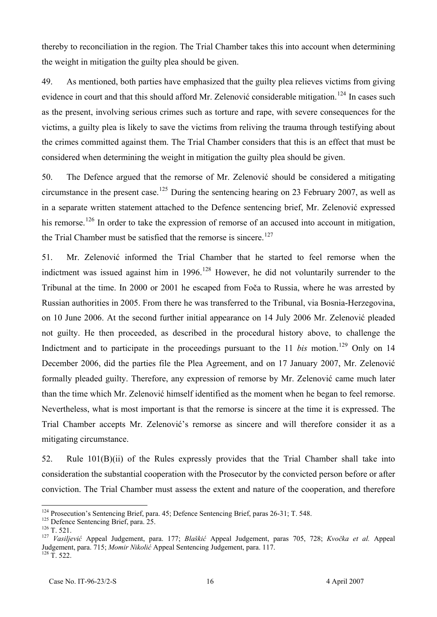thereby to reconciliation in the region. The Trial Chamber takes this into account when determining the weight in mitigation the guilty plea should be given.

49. As mentioned, both parties have emphasized that the guilty plea relieves victims from giving evidence in court and that this should afford Mr. Zelenović considerable mitigation.<sup>124</sup> In cases such as the present, involving serious crimes such as torture and rape, with severe consequences for the victims, a guilty plea is likely to save the victims from reliving the trauma through testifying about the crimes committed against them. The Trial Chamber considers that this is an effect that must be considered when determining the weight in mitigation the guilty plea should be given.

50. The Defence argued that the remorse of Mr. Zelenović should be considered a mitigating circumstance in the present case.<sup>125</sup> During the sentencing hearing on 23 February 2007, as well as in a separate written statement attached to the Defence sentencing brief, Mr. Zelenović expressed his remorse.<sup>126</sup> In order to take the expression of remorse of an accused into account in mitigation, the Trial Chamber must be satisfied that the remorse is sincere.<sup>127</sup>

51. Mr. Zelenović informed the Trial Chamber that he started to feel remorse when the indictment was issued against him in  $1996$ .<sup>128</sup> However, he did not voluntarily surrender to the Tribunal at the time. In 2000 or 2001 he escaped from Foča to Russia, where he was arrested by Russian authorities in 2005. From there he was transferred to the Tribunal, via Bosnia-Herzegovina, on 10 June 2006. At the second further initial appearance on 14 July 2006 Mr. Zelenović pleaded not guilty. He then proceeded, as described in the procedural history above, to challenge the Indictment and to participate in the proceedings pursuant to the  $11$  *bis* motion.<sup>129</sup> Only on 14 December 2006, did the parties file the Plea Agreement, and on 17 January 2007, Mr. Zelenović formally pleaded guilty. Therefore, any expression of remorse by Mr. Zelenović came much later than the time which Mr. Zelenović himself identified as the moment when he began to feel remorse. Nevertheless, what is most important is that the remorse is sincere at the time it is expressed. The Trial Chamber accepts Mr. Zelenović's remorse as sincere and will therefore consider it as a mitigating circumstance.

52. Rule 101(B)(ii) of the Rules expressly provides that the Trial Chamber shall take into consideration the substantial cooperation with the Prosecutor by the convicted person before or after conviction. The Trial Chamber must assess the extent and nature of the cooperation, and therefore

<sup>&</sup>lt;sup>124</sup> Prosecution's Sentencing Brief, para. 45; Defence Sentencing Brief, paras 26-31; T. 548.

<sup>&</sup>lt;sup>125</sup> Defence Sentencing Brief, para. 25.

 $^{126}$  T. 521.

<sup>&</sup>lt;sup>127</sup> Vasiljević Appeal Judgement, para. 177; *Blaškić* Appeal Judgement, paras 705, 728; *Kvočka et al.* Appeal Judgement, para. 715; *Momir Nikolić* Appeal Sentencing Judgement, para. 117.  $^{128}$  T. 522.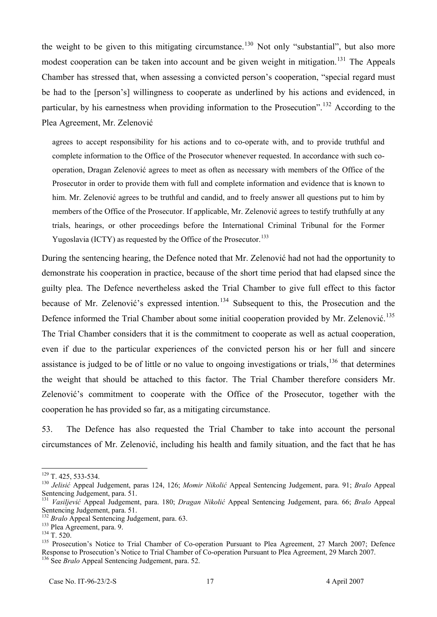the weight to be given to this mitigating circumstance.<sup>130</sup> Not only "substantial", but also more modest cooperation can be taken into account and be given weight in mitigation.<sup>131</sup> The Appeals Chamber has stressed that, when assessing a convicted person's cooperation, "special regard must be had to the [person's] willingness to cooperate as underlined by his actions and evidenced, in particular, by his earnestness when providing information to the Prosecution".<sup>132</sup> According to the Plea Agreement, Mr. Zelenović

agrees to accept responsibility for his actions and to co-operate with, and to provide truthful and complete information to the Office of the Prosecutor whenever requested. In accordance with such cooperation, Dragan Zelenović agrees to meet as often as necessary with members of the Office of the Prosecutor in order to provide them with full and complete information and evidence that is known to him. Mr. Zelenović agrees to be truthful and candid, and to freely answer all questions put to him by members of the Office of the Prosecutor. If applicable, Mr. Zelenović agrees to testify truthfully at any trials, hearings, or other proceedings before the International Criminal Tribunal for the Former Yugoslavia (ICTY) as requested by the Office of the Prosecutor.<sup>133</sup>

During the sentencing hearing, the Defence noted that Mr. Zelenović had not had the opportunity to demonstrate his cooperation in practice, because of the short time period that had elapsed since the guilty plea. The Defence nevertheless asked the Trial Chamber to give full effect to this factor because of Mr. Zelenović's expressed intention.<sup>134</sup> Subsequent to this, the Prosecution and the Defence informed the Trial Chamber about some initial cooperation provided by Mr. Zelenović.<sup>135</sup> The Trial Chamber considers that it is the commitment to cooperate as well as actual cooperation, even if due to the particular experiences of the convicted person his or her full and sincere assistance is judged to be of little or no value to ongoing investigations or trials,  $136$  that determines the weight that should be attached to this factor. The Trial Chamber therefore considers Mr. Zelenović's commitment to cooperate with the Office of the Prosecutor, together with the cooperation he has provided so far, as a mitigating circumstance.

53. The Defence has also requested the Trial Chamber to take into account the personal circumstances of Mr. Zelenović, including his health and family situation, and the fact that he has

 $\overline{a}$  $129$  T. 425, 533-534.

<sup>&</sup>lt;sup>130</sup> Jelisić Appeal Judgement, paras 124, 126; *Momir Nikolić* Appeal Sentencing Judgement, para. 91; *Bralo* Appeal Sentencing Judgement, para. 51.

<sup>&</sup>lt;sup>131</sup> Vasiljević Appeal Judgement, para. 180; *Dragan Nikolić* Appeal Sentencing Judgement, para. 66; *Bralo* Appeal Sentencing Judgement, para. 51.

<sup>&</sup>lt;sup>132</sup> Bralo Appeal Sentencing Judgement, para. 63.

 $133$  Plea Agreement, para. 9.

 $^{134}$  T. 520.

<sup>&</sup>lt;sup>135</sup> Prosecution's Notice to Trial Chamber of Co-operation Pursuant to Plea Agreement, 27 March 2007; Defence Response to Prosecution's Notice to Trial Chamber of Co-operation Pursuant to Plea Agreement, 29 March 2007.

<sup>&</sup>lt;sup>136</sup> See *Bralo* Appeal Sentencing Judgement, para. 52.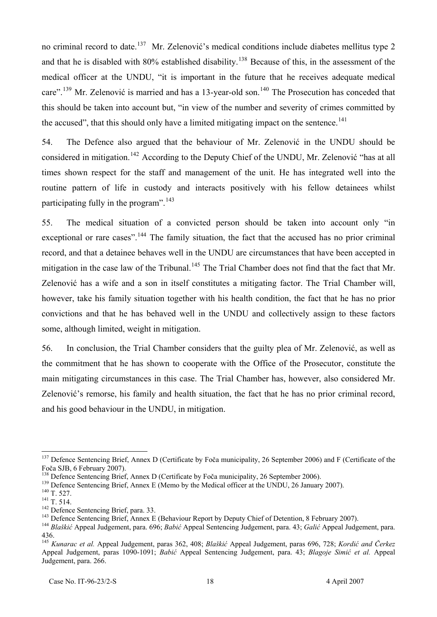no criminal record to date.<sup>137</sup> Mr. Zelenović's medical conditions include diabetes mellitus type 2 and that he is disabled with  $80\%$  established disability.<sup>138</sup> Because of this, in the assessment of the medical officer at the UNDU, "it is important in the future that he receives adequate medical care".<sup>139</sup> Mr. Zelenović is married and has a 13-year-old son.<sup>140</sup> The Prosecution has conceded that this should be taken into account but, "in view of the number and severity of crimes committed by the accused", that this should only have a limited mitigating impact on the sentence.<sup>141</sup>

54. The Defence also argued that the behaviour of Mr. Zelenović in the UNDU should be considered in mitigation.<sup>142</sup> According to the Deputy Chief of the UNDU, Mr. Zelenović "has at all times shown respect for the staff and management of the unit. He has integrated well into the routine pattern of life in custody and interacts positively with his fellow detainees whilst participating fully in the program". $143$ 

55. The medical situation of a convicted person should be taken into account only "in exceptional or rare cases".<sup>144</sup> The family situation, the fact that the accused has no prior criminal record, and that a detainee behaves well in the UNDU are circumstances that have been accepted in mitigation in the case law of the Tribunal.<sup>145</sup> The Trial Chamber does not find that the fact that Mr. Zelenović has a wife and a son in itself constitutes a mitigating factor. The Trial Chamber will, however, take his family situation together with his health condition, the fact that he has no prior convictions and that he has behaved well in the UNDU and collectively assign to these factors some, although limited, weight in mitigation.

56. In conclusion, the Trial Chamber considers that the guilty plea of Mr. Zelenović, as well as the commitment that he has shown to cooperate with the Office of the Prosecutor, constitute the main mitigating circumstances in this case. The Trial Chamber has, however, also considered Mr. Zelenović's remorse, his family and health situation, the fact that he has no prior criminal record, and his good behaviour in the UNDU, in mitigation.

<sup>&</sup>lt;sup>137</sup> Defence Sentencing Brief, Annex D (Certificate by Foča municipality, 26 September 2006) and F (Certificate of the Foča SJB, 6 February 2007).

<sup>&</sup>lt;sup>138</sup> Defence Sentencing Brief, Annex D (Certificate by Foča municipality, 26 September 2006).

<sup>&</sup>lt;sup>139</sup> Defence Sentencing Brief, Annex E (Memo by the Medical officer at the UNDU, 26 January 2007).

 $^{140}$  T. 527.

 $^{141}$  T. 514.

<sup>&</sup>lt;sup>142</sup> Defence Sentencing Brief, para. 33.

<sup>&</sup>lt;sup>143</sup> Defence Sentencing Brief, Annex E (Behaviour Report by Deputy Chief of Detention, 8 February 2007).

<sup>&</sup>lt;sup>144</sup> Blaškić Appeal Judgement, para. 696; *Babić* Appeal Sentencing Judgement, para. 43; *Galić* Appeal Judgement, para. 436.

<sup>&</sup>lt;sup>145</sup> Kunarac et al. Appeal Judgement, paras 362, 408; *Blaškić* Appeal Judgement, paras 696, 728; *Kordić and Čerkez* Appeal Judgement, paras 1090-1091; *Babić* Appeal Sentencing Judgement, para. 43; *Blagoje Simić et al.* Appeal Judgement, para. 266.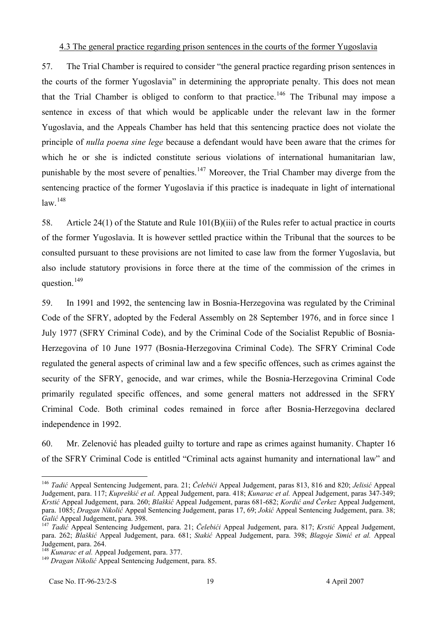#### 4.3 The general practice regarding prison sentences in the courts of the former Yugoslavia

57. The Trial Chamber is required to consider "the general practice regarding prison sentences in the courts of the former Yugoslavia" in determining the appropriate penalty. This does not mean that the Trial Chamber is obliged to conform to that practice.<sup>146</sup> The Tribunal may impose a sentence in excess of that which would be applicable under the relevant law in the former Yugoslavia, and the Appeals Chamber has held that this sentencing practice does not violate the principle of *nulla poena sine lege* because a defendant would have been aware that the crimes for which he or she is indicted constitute serious violations of international humanitarian law, punishable by the most severe of penalties.<sup>147</sup> Moreover, the Trial Chamber may diverge from the sentencing practice of the former Yugoslavia if this practice is inadequate in light of international  $law.<sup>148</sup>$ 

58. Article 24(1) of the Statute and Rule 101(B)(iii) of the Rules refer to actual practice in courts of the former Yugoslavia. It is however settled practice within the Tribunal that the sources to be consulted pursuant to these provisions are not limited to case law from the former Yugoslavia, but also include statutory provisions in force there at the time of the commission of the crimes in question. $^{149}$ 

59. In 1991 and 1992, the sentencing law in Bosnia-Herzegovina was regulated by the Criminal Code of the SFRY, adopted by the Federal Assembly on 28 September 1976, and in force since 1 July 1977 (SFRY Criminal Code), and by the Criminal Code of the Socialist Republic of Bosnia-Herzegovina of 10 June 1977 (Bosnia-Herzegovina Criminal Code). The SFRY Criminal Code regulated the general aspects of criminal law and a few specific offences, such as crimes against the security of the SFRY, genocide, and war crimes, while the Bosnia-Herzegovina Criminal Code primarily regulated specific offences, and some general matters not addressed in the SFRY Criminal Code. Both criminal codes remained in force after Bosnia-Herzegovina declared independence in 1992.

60. Mr. Zelenović has pleaded guilty to torture and rape as crimes against humanity. Chapter 16 of the SFRY Criminal Code is entitled "Criminal acts against humanity and international law" and

<sup>&</sup>lt;sup>146</sup> Tadić Appeal Sentencing Judgement, para. 21; *Čelebići* Appeal Judgement, paras 813, 816 and 820; *Jelisić* Appeal Judgement, para. 117; *Kupreškić et al.* Appeal Judgement, para. 418; *Kunarac et al.* Appeal Judgement, paras 347-349; *Krstić* Appeal Judgement, para. 260; *Blaškić* Appeal Judgement, paras 681-682; *Kordić and Čerkez* Appeal Judgement, para. 1085; *Dragan Nikolić* Appeal Sentencing Judgement, paras 17, 69; *Jokić* Appeal Sentencing Judgement, para. 38; *Galić* Appeal Judgement, para. 398.

<sup>147</sup>PT *Tadić* Appeal Sentencing Judgement, para. 21; *Čelebići* Appeal Judgement, para. 817; *Krstić* Appeal Judgement, para. 262; *Blaškić* Appeal Judgement, para. 681; *Stakić* Appeal Judgement, para. 398; *Blagoje Simić et al.* Appeal Judgement, para. 264.

<sup>&</sup>lt;sup>148</sup> Kunarac et al. Appeal Judgement, para. 377.

<sup>&</sup>lt;sup>149</sup> Dragan Nikolić Appeal Sentencing Judgement, para. 85.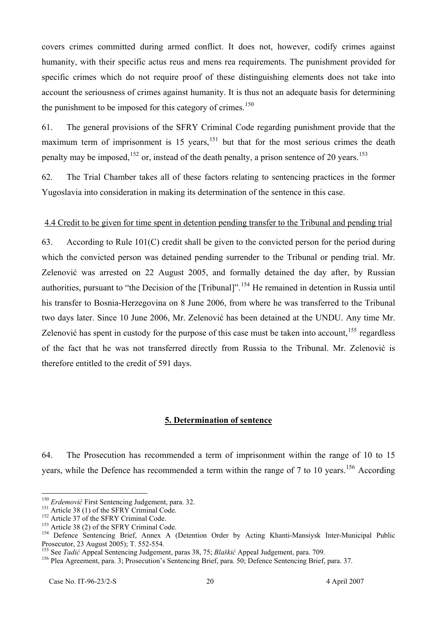covers crimes committed during armed conflict. It does not, however, codify crimes against humanity, with their specific actus reus and mens rea requirements. The punishment provided for specific crimes which do not require proof of these distinguishing elements does not take into account the seriousness of crimes against humanity. It is thus not an adequate basis for determining the punishment to be imposed for this category of crimes. $150$ 

61. The general provisions of the SFRY Criminal Code regarding punishment provide that the maximum term of imprisonment is 15 years,  $151$  but that for the most serious crimes the death penalty may be imposed,  $152$  or, instead of the death penalty, a prison sentence of 20 years.  $153$ 

62. The Trial Chamber takes all of these factors relating to sentencing practices in the former Yugoslavia into consideration in making its determination of the sentence in this case.

### 4.4 Credit to be given for time spent in detention pending transfer to the Tribunal and pending trial

63. According to Rule 101(C) credit shall be given to the convicted person for the period during which the convicted person was detained pending surrender to the Tribunal or pending trial. Mr. Zelenović was arrested on 22 August 2005, and formally detained the day after, by Russian authorities, pursuant to "the Decision of the [Tribunal]".<sup>154</sup> He remained in detention in Russia until his transfer to Bosnia-Herzegovina on 8 June 2006, from where he was transferred to the Tribunal two days later. Since 10 June 2006, Mr. Zelenović has been detained at the UNDU. Any time Mr. Zelenović has spent in custody for the purpose of this case must be taken into account,  $155$  regardless of the fact that he was not transferred directly from Russia to the Tribunal. Mr. Zelenović is therefore entitled to the credit of 591 days.

#### **5. Determination of sentence**

64. The Prosecution has recommended a term of imprisonment within the range of 10 to 15 years, while the Defence has recommended a term within the range of 7 to 10 years.<sup>156</sup> According

<sup>&</sup>lt;sup>150</sup> Erdemović First Sentencing Judgement, para. 32.

 $151$  Article 38 (1) of the SFRY Criminal Code.

<sup>&</sup>lt;sup>152</sup> Article 37 of the SFRY Criminal Code.

 $153$  Article 38 (2) of the SFRY Criminal Code.

<sup>154</sup> Defence Sentencing Brief, Annex A (Detention Order by Acting Khanti-Mansiysk Inter-Municipal Public Prosecutor, 23 August 2005); T. 552-554.

<sup>&</sup>lt;sup>155</sup> See *Tadić* Appeal Sentencing Judgement, paras 38, 75; *Blaškić* Appeal Judgement, para. 709.

<sup>&</sup>lt;sup>156</sup> Plea Agreement, para. 3; Prosecution's Sentencing Brief, para. 50; Defence Sentencing Brief, para. 37.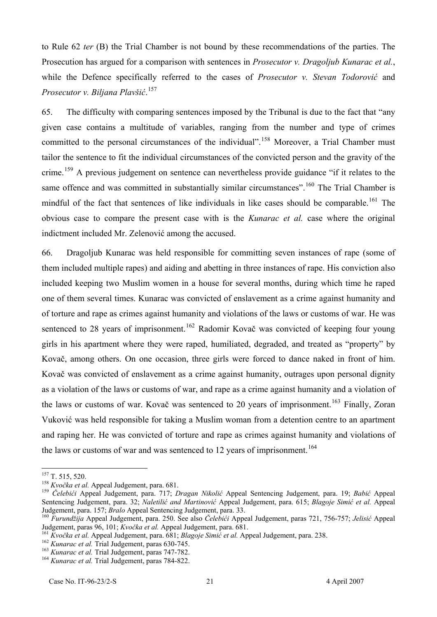to Rule 62 *ter* (B) the Trial Chamber is not bound by these recommendations of the parties. The Prosecution has argued for a comparison with sentences in *Prosecutor v. Dragoljub Kunarac et al.*, while the Defence specifically referred to the cases of *Prosecutor v. Stevan Todorović* and *Prosecutor v. Biljana Plavšić.*<sup>157</sup>

65. The difficulty with comparing sentences imposed by the Tribunal is due to the fact that "any given case contains a multitude of variables, ranging from the number and type of crimes committed to the personal circumstances of the individual".<sup>158</sup> Moreover, a Trial Chamber must tailor the sentence to fit the individual circumstances of the convicted person and the gravity of the crime.<sup>159</sup> A previous judgement on sentence can nevertheless provide guidance "if it relates to the same offence and was committed in substantially similar circumstances".<sup>160</sup> The Trial Chamber is mindful of the fact that sentences of like individuals in like cases should be comparable.<sup>161</sup> The obvious case to compare the present case with is the *Kunarac et al.* case where the original indictment included Mr. Zelenović among the accused.

66. Dragoljub Kunarac was held responsible for committing seven instances of rape (some of them included multiple rapes) and aiding and abetting in three instances of rape. His conviction also included keeping two Muslim women in a house for several months, during which time he raped one of them several times. Kunarac was convicted of enslavement as a crime against humanity and of torture and rape as crimes against humanity and violations of the laws or customs of war. He was sentenced to 28 years of imprisonment.<sup>162</sup> Radomir Kovač was convicted of keeping four young girls in his apartment where they were raped, humiliated, degraded, and treated as "property" by Kovač, among others. On one occasion, three girls were forced to dance naked in front of him. Kovač was convicted of enslavement as a crime against humanity, outrages upon personal dignity as a violation of the laws or customs of war, and rape as a crime against humanity and a violation of the laws or customs of war. Kovač was sentenced to 20 years of imprisonment.<sup>163</sup> Finally, Zoran Vuković was held responsible for taking a Muslim woman from a detention centre to an apartment and raping her. He was convicted of torture and rape as crimes against humanity and violations of the laws or customs of war and was sentenced to 12 years of imprisonment.<sup>164</sup>

 $^{157}$  T. 515, 520.

<sup>&</sup>lt;sup>158</sup> Kvočka et al. Appeal Judgement, para. 681.

<sup>&</sup>lt;sup>159</sup> Čelebići Appeal Judgement, para. 717; *Dragan Nikolić* Appeal Sentencing Judgement, para. 19; *Babić* Appeal Sentencing Judgement, para. 32; *Naletilić and Martinović* Appeal Judgement, para. 615; *Blagoje Simić et al.* Appeal Judgement, para. 157; *Bralo* Appeal Sentencing Judgement, para. 33.

<sup>&</sup>lt;sup>160</sup> Furundžija Appeal Judgement, para. 250. See also *Čelebići* Appeal Judgement, paras 721, 756-757; *Jelisić* Appeal Judgement, paras 96, 101; *Kvočka et al.* Appeal Judgement, para. 681.

<sup>&</sup>lt;sup>161</sup> Kvočka et al. Appeal Judgement, para. 681; *Blagoje Simić et al.* Appeal Judgement, para. 238.

<sup>&</sup>lt;sup>162</sup> Kunarac et al. Trial Judgement, paras 630-745.

<sup>&</sup>lt;sup>163</sup> Kunarac et al. Trial Judgement, paras 747-782.

<sup>&</sup>lt;sup>164</sup> Kunarac et al. Trial Judgement, paras 784-822.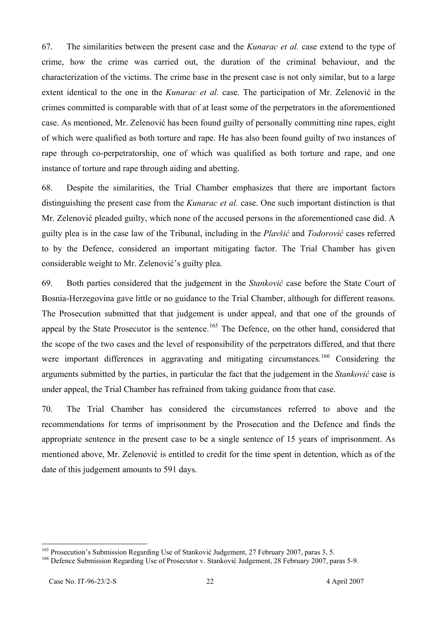67. The similarities between the present case and the *Kunarac et al.* case extend to the type of crime, how the crime was carried out, the duration of the criminal behaviour, and the characterization of the victims. The crime base in the present case is not only similar, but to a large extent identical to the one in the *Kunarac et al.* case. The participation of Mr. Zelenović in the crimes committed is comparable with that of at least some of the perpetrators in the aforementioned case. As mentioned, Mr. Zelenović has been found guilty of personally committing nine rapes, eight of which were qualified as both torture and rape. He has also been found guilty of two instances of rape through co-perpetratorship, one of which was qualified as both torture and rape, and one instance of torture and rape through aiding and abetting.

68. Despite the similarities, the Trial Chamber emphasizes that there are important factors distinguishing the present case from the *Kunarac et al.* case. One such important distinction is that Mr. Zelenović pleaded guilty, which none of the accused persons in the aforementioned case did. A guilty plea is in the case law of the Tribunal, including in the *Plavšić* and *Todorović* cases referred to by the Defence, considered an important mitigating factor. The Trial Chamber has given considerable weight to Mr. Zelenović's guilty plea.

69. Both parties considered that the judgement in the *Stanković* case before the State Court of Bosnia-Herzegovina gave little or no guidance to the Trial Chamber, although for different reasons. The Prosecution submitted that that judgement is under appeal, and that one of the grounds of appeal by the State Prosecutor is the sentence.<sup>165</sup> The Defence, on the other hand, considered that the scope of the two cases and the level of responsibility of the perpetrators differed, and that there were important differences in aggravating and mitigating circumstances.<sup>166</sup> Considering the arguments submitted by the parties, in particular the fact that the judgement in the *Stanković* case is under appeal, the Trial Chamber has refrained from taking guidance from that case.

70. The Trial Chamber has considered the circumstances referred to above and the recommendations for terms of imprisonment by the Prosecution and the Defence and finds the appropriate sentence in the present case to be a single sentence of 15 years of imprisonment. As mentioned above, Mr. Zelenović is entitled to credit for the time spent in detention, which as of the date of this judgement amounts to 591 days.

<sup>&</sup>lt;sup>165</sup> Prosecution's Submission Regarding Use of Stanković Judgement, 27 February 2007, paras 3, 5.

<sup>&</sup>lt;sup>166</sup> Defence Submission Regarding Use of Prosecutor v. Stanković Judgement, 28 February 2007, paras 5-9.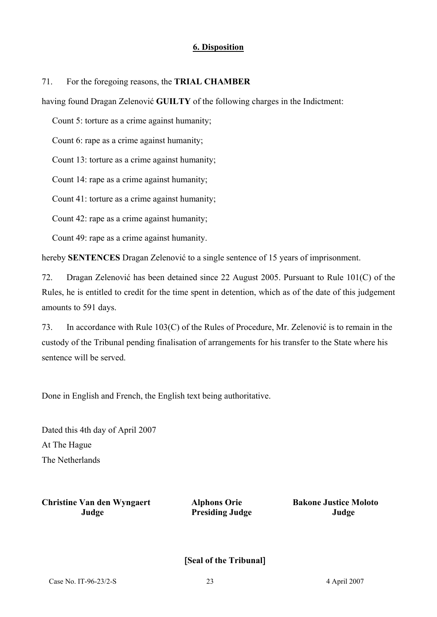## **6. Disposition**

71. For the foregoing reasons, the **TRIAL CHAMBER**

having found Dragan Zelenović **GUILTY** of the following charges in the Indictment:

Count 5: torture as a crime against humanity;

Count 6: rape as a crime against humanity;

Count 13: torture as a crime against humanity;

Count 14: rape as a crime against humanity;

Count 41: torture as a crime against humanity;

Count 42: rape as a crime against humanity;

Count 49: rape as a crime against humanity.

hereby **SENTENCES** Dragan Zelenović to a single sentence of 15 years of imprisonment.

72. Dragan Zelenović has been detained since 22 August 2005. Pursuant to Rule 101(C) of the Rules, he is entitled to credit for the time spent in detention, which as of the date of this judgement amounts to 591 days.

73. In accordance with Rule 103(C) of the Rules of Procedure, Mr. Zelenović is to remain in the custody of the Tribunal pending finalisation of arrangements for his transfer to the State where his sentence will be served.

Done in English and French, the English text being authoritative.

Dated this 4th day of April 2007 At The Hague The Netherlands

**Christine Van den Wyngaert Alphons Orie Bakone Justice Moloto Judge Presiding Judge Judge**

[**Seal of the Tribunal**]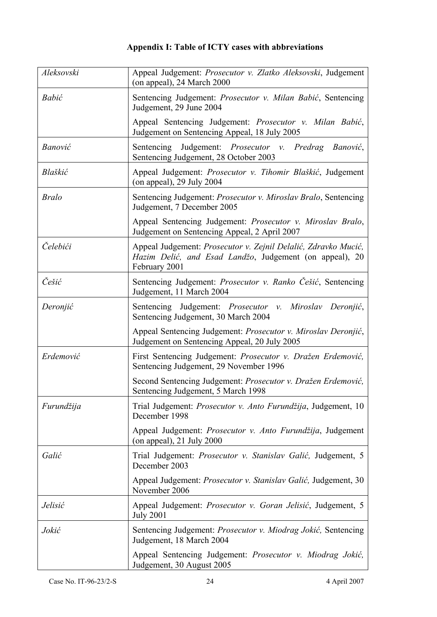# **Appendix I: Table of ICTY cases with abbreviations**

| Aleksovski   | Appeal Judgement: Prosecutor v. Zlatko Aleksovski, Judgement<br>(on appeal), 24 March 2000                                                 |
|--------------|--------------------------------------------------------------------------------------------------------------------------------------------|
| Babić        | Sentencing Judgement: Prosecutor v. Milan Babić, Sentencing<br>Judgement, 29 June 2004                                                     |
|              | Appeal Sentencing Judgement: Prosecutor v. Milan Babić,<br>Judgement on Sentencing Appeal, 18 July 2005                                    |
| Banović      | Judgement: <i>Prosecutor v. Predrag</i><br>Sentencing<br>Banović,<br>Sentencing Judgement, 28 October 2003                                 |
| Blaškić      | Appeal Judgement: Prosecutor v. Tihomir Blaškić, Judgement<br>(on appeal), $29$ July $2004$                                                |
| <b>Bralo</b> | Sentencing Judgement: Prosecutor v. Miroslav Bralo, Sentencing<br>Judgement, 7 December 2005                                               |
|              | Appeal Sentencing Judgement: Prosecutor v. Miroslav Bralo,<br>Judgement on Sentencing Appeal, 2 April 2007                                 |
| Čelebići     | Appeal Judgement: Prosecutor v. Zejnil Delalić, Zdravko Mucić,<br>Hazim Delić, and Esad Landžo, Judgement (on appeal), 20<br>February 2001 |
| Češić        | Sentencing Judgement: Prosecutor v. Ranko Cešić, Sentencing<br>Judgement, 11 March 2004                                                    |
| Deronjić     | Sentencing Judgement: Prosecutor v. Miroslav Deronjić,<br>Sentencing Judgement, 30 March 2004                                              |
|              | Appeal Sentencing Judgement: Prosecutor v. Miroslav Deronjić,<br>Judgement on Sentencing Appeal, 20 July 2005                              |
| Erdemović    | First Sentencing Judgement: Prosecutor v. Dražen Erdemović,<br>Sentencing Judgement, 29 November 1996                                      |
|              | Second Sentencing Judgement: Prosecutor v. Dražen Erdemović,<br>Sentencing Judgement, 5 March 1998                                         |
| Furundžija   | Trial Judgement: Prosecutor v. Anto Furundžija, Judgement, 10<br>December 1998                                                             |
|              | Appeal Judgement: Prosecutor v. Anto Furundžija, Judgement<br>(on appeal), $21$ July $2000$                                                |
| Galić        | Trial Judgement: Prosecutor v. Stanislav Galić, Judgement, 5<br>December 2003                                                              |
|              | Appeal Judgement: <i>Prosecutor v. Stanislav Galić</i> , Judgement, 30<br>November 2006                                                    |
| Jelisić      | Appeal Judgement: Prosecutor v. Goran Jelisić, Judgement, 5<br><b>July 2001</b>                                                            |
| Jokić        | Sentencing Judgement: Prosecutor v. Miodrag Jokić, Sentencing<br>Judgement, 18 March 2004                                                  |
|              | Appeal Sentencing Judgement: Prosecutor v. Miodrag Jokić,<br>Judgement, 30 August 2005                                                     |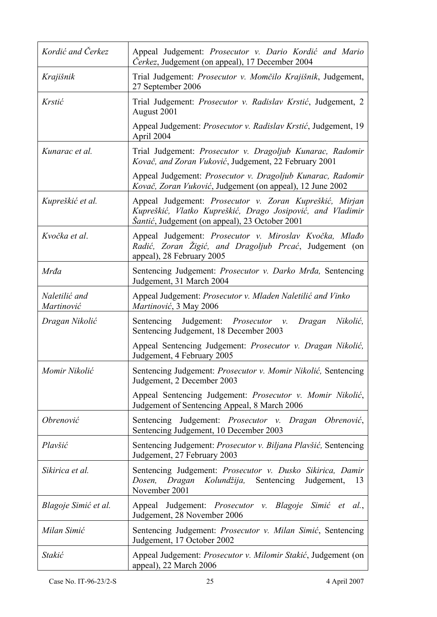| Kordić and Čerkez           | Appeal Judgement: Prosecutor v. Dario Kordić and Mario<br><i>Čerkez</i> , Judgement (on appeal), 17 December 2004                                                               |
|-----------------------------|---------------------------------------------------------------------------------------------------------------------------------------------------------------------------------|
| Krajišnik                   | Trial Judgement: Prosecutor v. Momčilo Krajišnik, Judgement,<br>27 September 2006                                                                                               |
| Krstić                      | Trial Judgement: Prosecutor v. Radislav Krstić, Judgement, 2<br>August 2001                                                                                                     |
|                             | Appeal Judgement: Prosecutor v. Radislav Krstić, Judgement, 19<br>April 2004                                                                                                    |
| Kunarac et al.              | Trial Judgement: Prosecutor v. Dragoljub Kunarac, Radomir<br>Kovač, and Zoran Vuković, Judgement, 22 February 2001                                                              |
|                             | Appeal Judgement: Prosecutor v. Dragoljub Kunarac, Radomir<br>Kovač, Zoran Vuković, Judgement (on appeal), 12 June 2002                                                         |
| Kupreškić et al.            | Appeal Judgement: Prosecutor v. Zoran Kupreškić, Mirjan<br>Kupreškić, Vlatko Kupreškić, Drago Josipović, and Vladimir<br><i>Šantić</i> , Judgement (on appeal), 23 October 2001 |
| Kvočka et al.               | Appeal Judgement: Prosecutor v. Miroslav Kvočka, Mlađo<br>Radić, Zoran Žigić, and Dragoljub Prcać, Judgement (on<br>appeal), 28 February 2005                                   |
| Mrđa                        | Sentencing Judgement: Prosecutor v. Darko Mrđa, Sentencing<br>Judgement, 31 March 2004                                                                                          |
| Naletilić and<br>Martinović | Appeal Judgement: Prosecutor v. Mladen Naletilić and Vinko<br>Martinović, 3 May 2006                                                                                            |
| Dragan Nikolić              | Sentencing Judgement: <i>Prosecutor v.</i><br>Nikolić,<br>Dragan<br>Sentencing Judgement, 18 December 2003                                                                      |
|                             | Appeal Sentencing Judgement: Prosecutor v. Dragan Nikolić,<br>Judgement, 4 February 2005                                                                                        |
| Momir Nikolić               | Sentencing Judgement: Prosecutor v. Momir Nikolić, Sentencing<br>Judgement, 2 December 2003                                                                                     |
|                             | Appeal Sentencing Judgement: Prosecutor v. Momir Nikolić,<br>Judgement of Sentencing Appeal, 8 March 2006                                                                       |
| Obrenović                   | Judgement: Prosecutor v. Dragan Obrenović,<br>Sentencing<br>Sentencing Judgement, 10 December 2003                                                                              |
| Plavšić                     | Sentencing Judgement: Prosecutor v. Biljana Plavšić, Sentencing<br>Judgement, 27 February 2003                                                                                  |
| Sikirica et al.             | Sentencing Judgement: Prosecutor v. Dusko Sikirica, Damir<br>Dosen,<br>Dragan<br>Kolundžija,<br>Sentencing<br>Judgement,<br>13<br>November 2001                                 |
| Blagoje Simić et al.        | Appeal Judgement: Prosecutor v. Blagoje Simić et al.,<br>Judgement, 28 November 2006                                                                                            |
| Milan Simić                 | Sentencing Judgement: Prosecutor v. Milan Simić, Sentencing<br>Judgement, 17 October 2002                                                                                       |
| Stakić                      | Appeal Judgement: <i>Prosecutor v. Milomir Stakić</i> , Judgement (on<br>appeal), 22 March 2006                                                                                 |